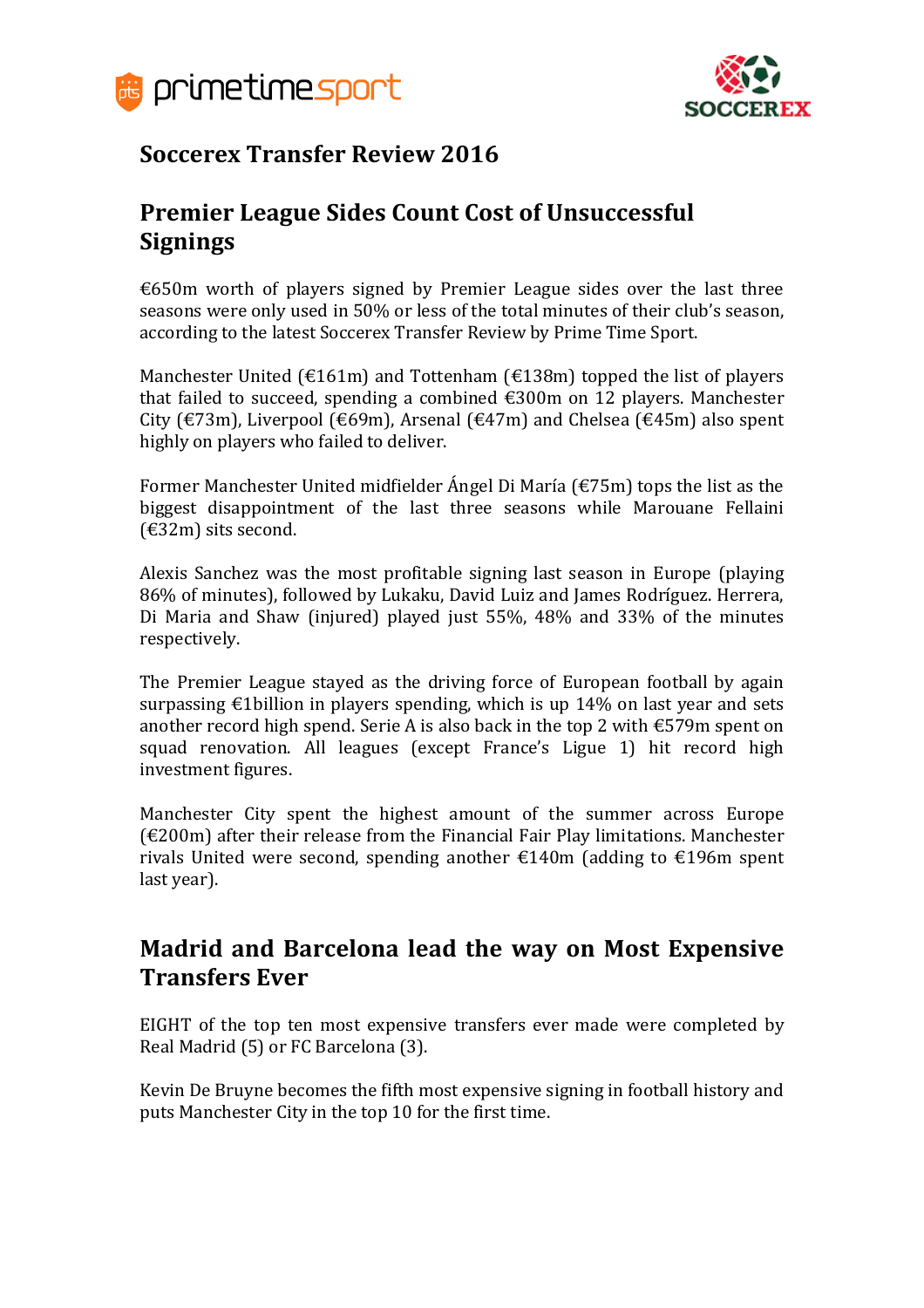



# **Soccerex Transfer Review 2016**

## **Premier League Sides Count Cost of Unsuccessful Signings**

€650m worth of players signed by Premier League sides over the last three seasons were only used in 50% or less of the total minutes of their club's season, according to the latest Soccerex Transfer Review by Prime Time Sport.

Manchester United ( $\epsilon$ 161m) and Tottenham ( $\epsilon$ 138m) topped the list of players that failed to succeed, spending a combined €300m on 12 players. Manchester City (€73m), Liverpool (€69m), Arsenal (€47m) and Chelsea (€45m) also spent highly on players who failed to deliver.

Former Manchester United midfielder Ángel Di María (€75m) tops the list as the biggest disappointment of the last three seasons while Marouane Fellaini (€32m) sits second.

Alexis Sanchez was the most profitable signing last season in Europe (playing 86% of minutes), followed by Lukaku, David Luiz and James Rodríguez. Herrera, Di Maria and Shaw (injured) played just 55%, 48% and 33% of the minutes respectively.

The Premier League stayed as the driving force of European football by again surpassing €1billion in players spending, which is up 14% on last year and sets another record high spend. Serie A is also back in the top 2 with  $\epsilon$ 579m spent on squad renovation. All leagues (except France's Ligue 1) hit record high investment figures.

Manchester City spent the highest amount of the summer across Europe  $(£200m)$  after their release from the Financial Fair Play limitations. Manchester rivals United were second, spending another €140m (adding to €196m spent last year).

## **Madrid and Barcelona lead the way on Most Expensive Transfers Ever**

EIGHT of the top ten most expensive transfers ever made were completed by Real Madrid (5) or FC Barcelona (3).

Kevin De Bruyne becomes the fifth most expensive signing in football history and puts Manchester City in the top 10 for the first time.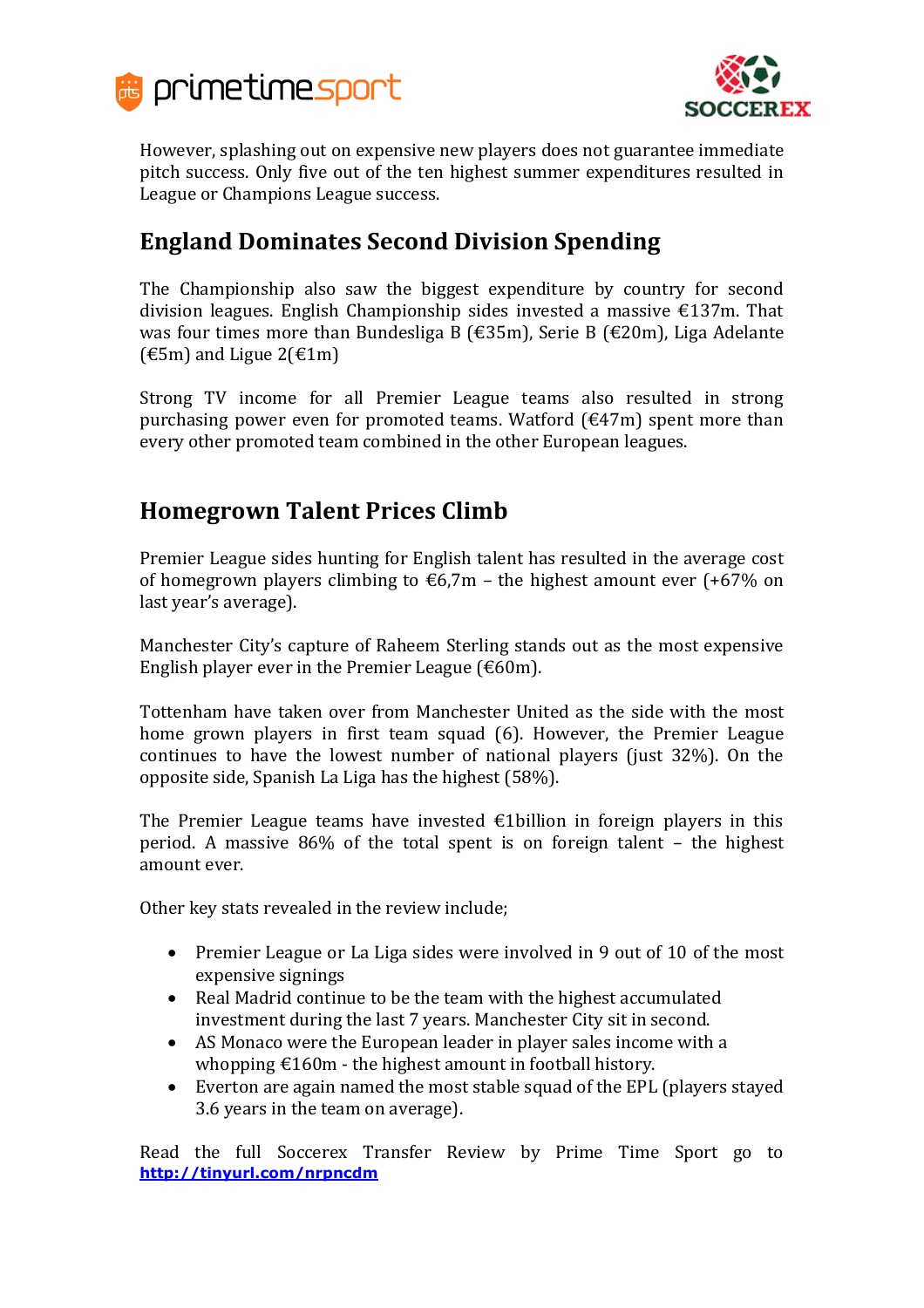



However, splashing out on expensive new players does not guarantee immediate pitch success. Only five out of the ten highest summer expenditures resulted in League or Champions League success.

# **England Dominates Second Division Spending**

The Championship also saw the biggest expenditure by country for second division leagues. English Championship sides invested a massive €137m. That was four times more than Bundesliga B (€35m), Serie B (€20m), Liga Adelante  $(\text{\textsterling}5m)$  and Ligue 2( $\text{\textsterling}1m$ )

Strong TV income for all Premier League teams also resulted in strong purchasing power even for promoted teams. Watford  $(\text{\textsterling}47m)$  spent more than every other promoted team combined in the other European leagues.

## **Homegrown Talent Prices Climb**

Premier League sides hunting for English talent has resulted in the average cost of homegrown players climbing to  $\epsilon$ 6,7m – the highest amount ever (+67% on last year's average).

Manchester City's capture of Raheem Sterling stands out as the most expensive English player ever in the Premier League ( $\epsilon$ 60m).

Tottenham have taken over from Manchester United as the side with the most home grown players in first team squad (6). However, the Premier League continues to have the lowest number of national players (just 32%). On the opposite side, Spanish La Liga has the highest (58%).

The Premier League teams have invested  $\epsilon$ 1billion in foreign players in this period. A massive 86% of the total spent is on foreign talent – the highest amount ever.

Other key stats revealed in the review include;

- Premier League or La Liga sides were involved in 9 out of 10 of the most expensive signings
- Real Madrid continue to be the team with the highest accumulated investment during the last 7 years. Manchester City sit in second.
- AS Monaco were the European leader in player sales income with a whopping  $\epsilon$ 160m - the highest amount in football history.
- Everton are again named the most stable squad of the EPL (players stayed 3.6 years in the team on average).

Read the full Soccerex Transfer Review by Prime Time Sport go to **<http://tinyurl.com/nrpncdm>**